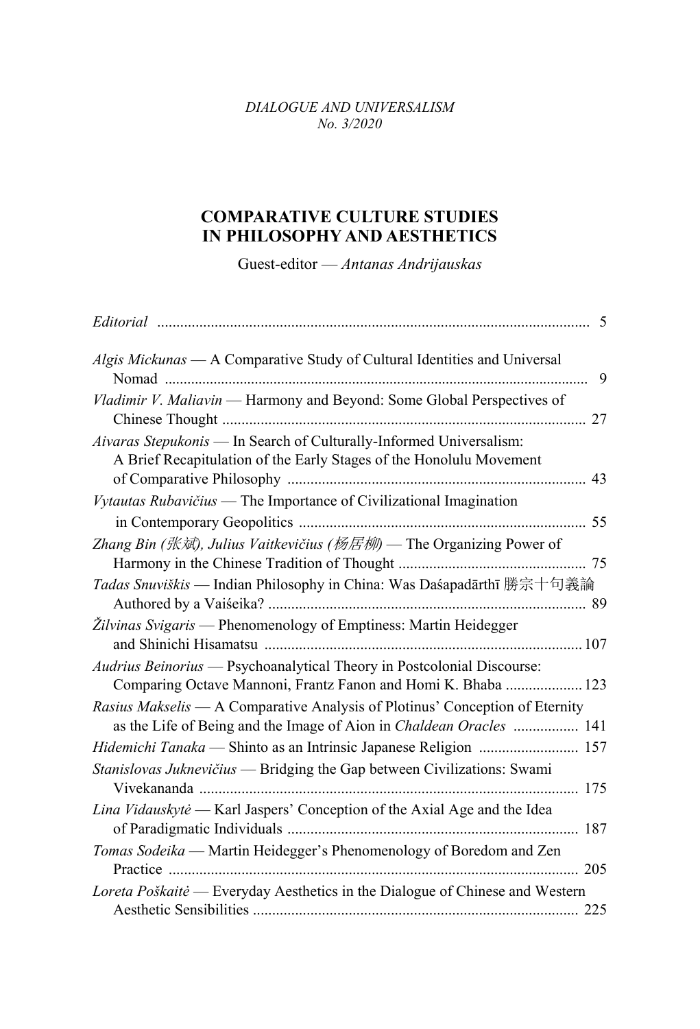## *DIALOGUE AND UNIVERSALISM No. 3/2020*

## **COMPARATIVE CULTURE STUDIES IN PHILOSOPHY AND AESTHETICS**

Guest-editor — *Antanas Andrijauskas*

|                                                                                                                                                     | 5  |
|-----------------------------------------------------------------------------------------------------------------------------------------------------|----|
| Algis Mickunas - A Comparative Study of Cultural Identities and Universal                                                                           | 9  |
| Vladimir V. Maliavin - Harmony and Beyond: Some Global Perspectives of                                                                              | 27 |
| Aivaras Stepukonis - In Search of Culturally-Informed Universalism:<br>A Brief Recapitulation of the Early Stages of the Honolulu Movement          | 43 |
| Vytautas Rubavičius — The Importance of Civilizational Imagination                                                                                  |    |
| Zhang Bin (张斌), Julius Vaitkevičius (杨居柳) — The Organizing Power of                                                                                 |    |
| Tadas Snuviškis - Indian Philosophy in China: Was Daśapadārthī 勝宗十句義論                                                                               |    |
| Žilvinas Svigaris — Phenomenology of Emptiness: Martin Heidegger                                                                                    |    |
| Audrius Beinorius — Psychoanalytical Theory in Postcolonial Discourse:<br>Comparing Octave Mannoni, Frantz Fanon and Homi K. Bhaba  123             |    |
| Rasius Makselis — A Comparative Analysis of Plotinus' Conception of Eternity<br>as the Life of Being and the Image of Aion in Chaldean Oracles  141 |    |
|                                                                                                                                                     |    |
| Stanislovas Juknevičius — Bridging the Gap between Civilizations: Swami                                                                             |    |
| Lina Vidauskytė - Karl Jaspers' Conception of the Axial Age and the Idea                                                                            |    |
| Tomas Sodeika — Martin Heidegger's Phenomenology of Boredom and Zen                                                                                 |    |
| Loreta Poškaitė — Everyday Aesthetics in the Dialogue of Chinese and Western                                                                        |    |